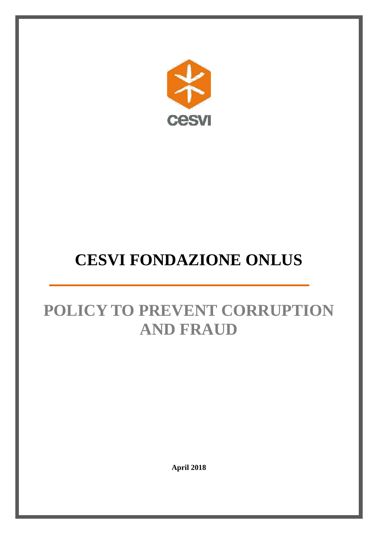

# **CESVI FONDAZIONE ONLUS**

# **POLICY TO PREVENT CORRUPTION AND FRAUD**

**April 2018**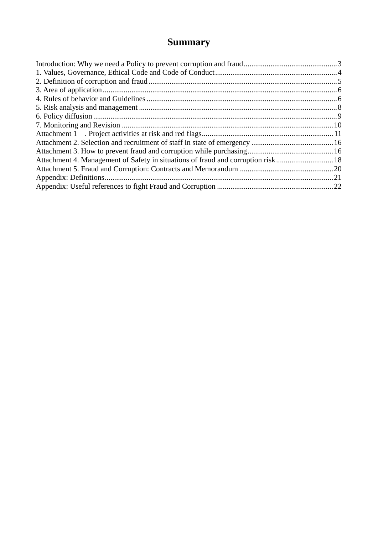# **Summary**

| Attachment 4. Management of Safety in situations of fraud and corruption risk 18 |  |
|----------------------------------------------------------------------------------|--|
|                                                                                  |  |
|                                                                                  |  |
|                                                                                  |  |
|                                                                                  |  |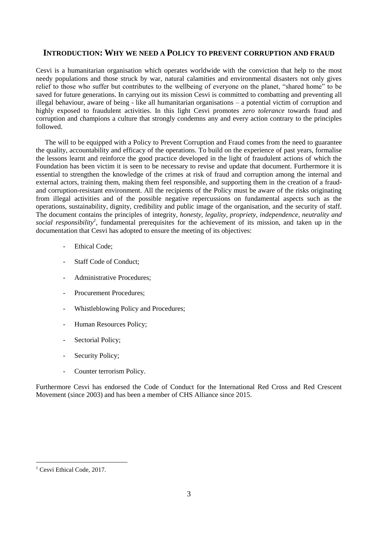# <span id="page-2-0"></span>**INTRODUCTION: WHY WE NEED A POLICY TO PREVENT CORRUPTION AND FRAUD**

Cesvi is a humanitarian organisation which operates worldwide with the conviction that help to the most needy populations and those struck by war, natural calamities and environmental disasters not only gives relief to those who suffer but contributes to the wellbeing of everyone on the planet, "shared home" to be saved for future generations. In carrying out its mission Cesvi is committed to combatting and preventing all illegal behaviour, aware of being - like all humanitarian organisations – a potential victim of corruption and highly exposed to fraudulent activities. In this light Cesvi promotes *zero tolerance* towards fraud and corruption and champions a culture that strongly condemns any and every action contrary to the principles followed.

The will to be equipped with a Policy to Prevent Corruption and Fraud comes from the need to guarantee the quality, accountability and efficacy of the operations. To build on the experience of past years, formalise the lessons learnt and reinforce the good practice developed in the light of fraudulent actions of which the Foundation has been victim it is seen to be necessary to revise and update that document. Furthermore it is essential to strengthen the knowledge of the crimes at risk of fraud and corruption among the internal and external actors, training them, making them feel responsible, and supporting them in the creation of a fraudand corruption-resistant environment. All the recipients of the Policy must be aware of the risks originating from illegal activities and of the possible negative repercussions on fundamental aspects such as the operations, sustainability, dignity, credibility and public image of the organisation, and the security of staff. The document contains the principles of integrity*, honesty, legality, propriety, independence, neutrality and social responsibility<sup>1</sup>* , fundamental prerequisites for the achievement of its mission, and taken up in the documentation that Cesvi has adopted to ensure the meeting of its objectives:

- Ethical Code;
- Staff Code of Conduct:
- Administrative Procedures:
- Procurement Procedures;
- Whistleblowing Policy and Procedures;
- Human Resources Policy;
- Sectorial Policy;
- Security Policy;
- Counter terrorism Policy.

Furthermore Cesvi has endorsed the Code of Conduct for the International Red Cross and Red Crescent Movement (since 2003) and has been a member of CHS Alliance since 2015.

1

<sup>&</sup>lt;sup>1</sup> Cesvi Ethical Code, 2017.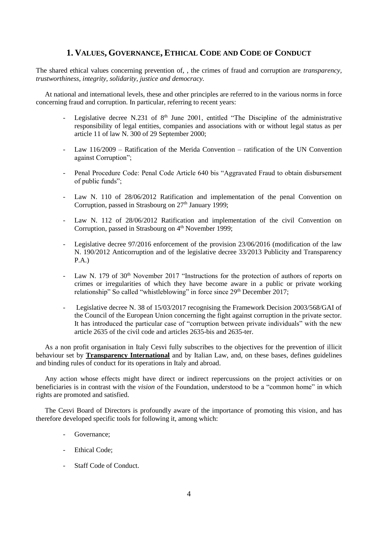# **1. VALUES, GOVERNANCE, ETHICAL CODE AND CODE OF CONDUCT**

<span id="page-3-0"></span>The shared ethical values concerning prevention of, , the crimes of fraud and corruption are *transparency, trustworthiness, integrity, solidarity, justice and democracy.* 

At national and international levels, these and other principles are referred to in the various norms in force concerning fraud and corruption. In particular, referring to recent years:

- Legislative decree N.231 of  $8<sup>th</sup>$  June 2001, entitled "The Discipline of the administrative responsibility of legal entities, companies and associations with or without legal status as per article 11 of law N. 300 of 29 September 2000;
- Law  $116/2009$  Ratification of the Merida Convention ratification of the UN Convention against Corruption";
- Penal Procedure Code: Penal Code Article 640 bis "Aggravated Fraud to obtain disbursement of public funds";
- Law N. 110 of 28/06/2012 Ratification and implementation of the penal Convention on Corruption, passed in Strasbourg on  $27<sup>th</sup>$  January 1999;
- Law N. 112 of 28/06/2012 Ratification and implementation of the civil Convention on Corruption, passed in Strasbourg on  $4<sup>th</sup>$  November 1999;
- Legislative decree 97/2016 enforcement of the provision 23/06/2016 (modification of the law N. 190/2012 Anticorruption and of the legislative decree 33/2013 Publicity and Transparency P.A.)
- Law N. 179 of  $30<sup>th</sup>$  November 2017 "Instructions for the protection of authors of reports on crimes or irregularities of which they have become aware in a public or private working relationship" So called "whistleblowing" in force since 29<sup>th</sup> December 2017;
- Legislative decree N. 38 of 15/03/2017 recognising the Framework Decision 2003/568/GAI of the Council of the European Union concerning the fight against corruption in the private sector. It has introduced the particular case of "corruption between private individuals" with the new article 2635 of the civil code and articles 2635-bis and 2635-ter.

As a non profit organisation in Italy Cesvi fully subscribes to the objectives for the prevention of illicit behaviour set by **Transparency International** and by Italian Law, and, on these bases, defines guidelines and binding rules of conduct for its operations in Italy and abroad.

Any action whose effects might have direct or indirect repercussions on the project activities or on beneficiaries is in contrast with the *vision* of the Foundation, understood to be a "common home" in which rights are promoted and satisfied.

The Cesvi Board of Directors is profoundly aware of the importance of promoting this vision, and has therefore developed specific tools for following it, among which:

- Governance:
- Ethical Code:
- Staff Code of Conduct.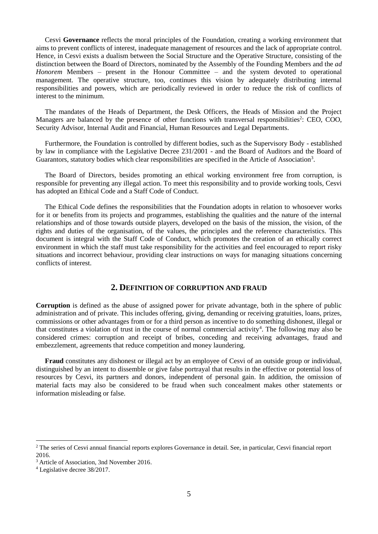Cesvi **Governance** reflects the moral principles of the Foundation, creating a working environment that aims to prevent conflicts of interest, inadequate management of resources and the lack of appropriate control. Hence, in Cesvi exists a dualism between the Social Structure and the Operative Structure, consisting of the distinction between the Board of Directors, nominated by the Assembly of the Founding Members and the *ad Honorem* Members – present in the Honour Committee – and the system devoted to operational management. The operative structure, too, continues this vision by adequately distributing internal responsibilities and powers, which are periodically reviewed in order to reduce the risk of conflicts of interest to the minimum.

The mandates of the Heads of Department, the Desk Officers, the Heads of Mission and the Project Managers are balanced by the presence of other functions with transversal responsibilities<sup>2</sup>: CEO, COO, Security Advisor, Internal Audit and Financial, Human Resources and Legal Departments.

Furthermore, the Foundation is controlled by different bodies, such as the Supervisory Body - established by law in compliance with the Legislative Decree 231/2001 - and the Board of Auditors and the Board of Guarantors, statutory bodies which clear responsibilities are specified in the Article of Association<sup>3</sup>.

The Board of Directors, besides promoting an ethical working environment free from corruption, is responsible for preventing any illegal action. To meet this responsibility and to provide working tools, Cesvi has adopted an Ethical Code and a Staff Code of Conduct.

The Ethical Code defines the responsibilities that the Foundation adopts in relation to whosoever works for it or benefits from its projects and programmes, establishing the qualities and the nature of the internal relationships and of those towards outside players, developed on the basis of the mission, the vision, of the rights and duties of the organisation, of the values, the principles and the reference characteristics. This document is integral with the Staff Code of Conduct, which promotes the creation of an ethically correct environment in which the staff must take responsibility for the activities and feel encouraged to report risky situations and incorrect behaviour, providing clear instructions on ways for managing situations concerning conflicts of interest.

# **2. DEFINITION OF CORRUPTION AND FRAUD**

<span id="page-4-0"></span>**Corruption** is defined as the abuse of assigned power for private advantage, both in the sphere of public administration and of private. This includes offering, giving, demanding or receiving gratuities, loans, prizes, commissions or other advantages from or for a third person as incentive to do something dishonest, illegal or that constitutes a violation of trust in the course of normal commercial activity<sup>4</sup>. The following may also be considered crimes: corruption and receipt of bribes, conceding and receiving advantages, fraud and embezzlement, agreements that reduce competition and money laundering.

**Fraud** constitutes any dishonest or illegal act by an employee of Cesvi of an outside group or individual, distinguished by an intent to dissemble or give false portrayal that results in the effective or potential loss of resources by Cesvi, its partners and donors, independent of personal gain. In addition, the omission of material facts may also be considered to be fraud when such concealment makes other statements or information misleading or false.

1

<sup>&</sup>lt;sup>2</sup> The series of Cesvi annual financial reports explores Governance in detail. See, in particular, Cesvi financial report 2016.

<sup>3</sup> Article of Association, 3nd November 2016.

<sup>4</sup> Legislative decree 38/2017.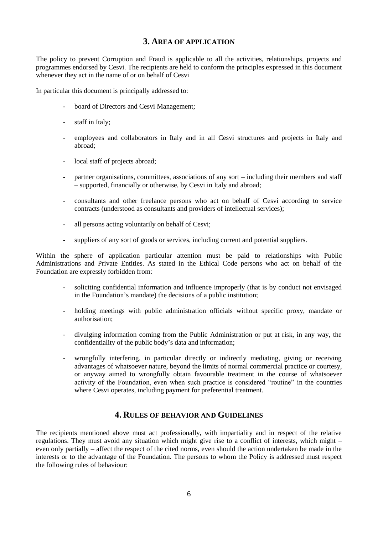# **3. AREA OF APPLICATION**

<span id="page-5-0"></span>The policy to prevent Corruption and Fraud is applicable to all the activities, relationships, projects and programmes endorsed by Cesvi. The recipients are held to conform the principles expressed in this document whenever they act in the name of or on behalf of Cesvi

In particular this document is principally addressed to:

- board of Directors and Cesvi Management;
- staff in Italy;
- employees and collaborators in Italy and in all Cesvi structures and projects in Italy and abroad;
- local staff of projects abroad;
- partner organisations, committees, associations of any sort including their members and staff – supported, financially or otherwise, by Cesvi in Italy and abroad;
- consultants and other freelance persons who act on behalf of Cesvi according to service contracts (understood as consultants and providers of intellectual services);
- all persons acting voluntarily on behalf of Cesvi;
- suppliers of any sort of goods or services, including current and potential suppliers.

Within the sphere of application particular attention must be paid to relationships with Public Administrations and Private Entities. As stated in the Ethical Code persons who act on behalf of the Foundation are expressly forbidden from:

- soliciting confidential information and influence improperly (that is by conduct not envisaged in the Foundation's mandate) the decisions of a public institution;
- holding meetings with public administration officials without specific proxy, mandate or authorisation;
- divulging information coming from the Public Administration or put at risk, in any way, the confidentiality of the public body's data and information;
- wrongfully interfering, in particular directly or indirectly mediating, giving or receiving advantages of whatsoever nature, beyond the limits of normal commercial practice or courtesy, or anyway aimed to wrongfully obtain favourable treatment in the course of whatsoever activity of the Foundation, even when such practice is considered "routine" in the countries where Cesvi operates, including payment for preferential treatment.

# **4. RULES OF BEHAVIOR AND GUIDELINES**

<span id="page-5-1"></span>The recipients mentioned above must act professionally, with impartiality and in respect of the relative regulations. They must avoid any situation which might give rise to a conflict of interests, which might – even only partially – affect the respect of the cited norms, even should the action undertaken be made in the interests or to the advantage of the Foundation. The persons to whom the Policy is addressed must respect the following rules of behaviour: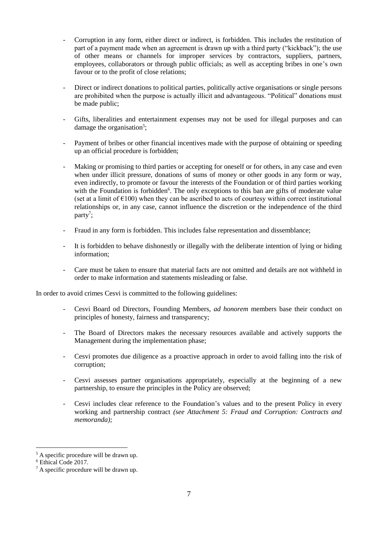- Corruption in any form, either direct or indirect, is forbidden. This includes the restitution of part of a payment made when an agreement is drawn up with a third party ("kickback"); the use of other means or channels for improper services by contractors, suppliers, partners, employees, collaborators or through public officials; as well as accepting bribes in one's own favour or to the profit of close relations;
- Direct or indirect donations to political parties, politically active organisations or single persons are prohibited when the purpose is actually illicit and advantageous. "Political" donations must be made public;
- Gifts, liberalities and entertainment expenses may not be used for illegal purposes and can damage the organisation<sup>5</sup>;
- Payment of bribes or other financial incentives made with the purpose of obtaining or speeding up an official procedure is forbidden;
- Making or promising to third parties or accepting for oneself or for others, in any case and even when under illicit pressure, donations of sums of money or other goods in any form or way, even indirectly, to promote or favour the interests of the Foundation or of third parties working with the Foundation is forbidden<sup>6</sup>. The only exceptions to this ban are gifts of moderate value (set at a limit of  $\epsilon$ 100) when they can be ascribed to acts of courtesy within correct institutional relationships or, in any case, cannot influence the discretion or the independence of the third party<sup>7</sup>;
- Fraud in any form is forbidden. This includes false representation and dissemblance;
- It is forbidden to behave dishonestly or illegally with the deliberate intention of lying or hiding information;
- Care must be taken to ensure that material facts are not omitted and details are not withheld in order to make information and statements misleading or false.

In order to avoid crimes Cesvi is committed to the following guidelines:

- Cesvi Board od Directors, Founding Members, *ad honorem* members base their conduct on principles of honesty, fairness and transparency;
- The Board of Directors makes the necessary resources available and actively supports the Management during the implementation phase;
- Cesvi promotes due diligence as a proactive approach in order to avoid falling into the risk of corruption;
- Cesvi assesses partner organisations appropriately, especially at the beginning of a new partnership, to ensure the principles in the Policy are observed;
- Cesvi includes clear reference to the Foundation's values and to the present Policy in every working and partnership contract *(see Attachment 5: Fraud and Corruption: Contracts and memoranda);*

<u>.</u>

 $<sup>5</sup>$  A specific procedure will be drawn up.</sup>

<sup>6</sup> Ethical Code 2017.

<sup>7</sup> A specific procedure will be drawn up.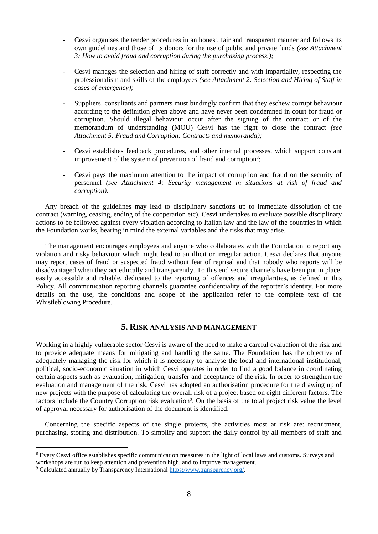- Cesvi organises the tender procedures in an honest, fair and transparent manner and follows its own guidelines and those of its donors for the use of public and private funds *(see Attachment 3: How to avoid fraud and corruption during the purchasing process.);*
- Cesvi manages the selection and hiring of staff correctly and with impartiality, respecting the professionalism and skills of the employees *(see Attachment 2: Selection and Hiring of Staff in cases of emergency);*
- Suppliers, consultants and partners must bindingly confirm that they eschew corrupt behaviour according to the definition given above and have never been condemned in court for fraud or corruption. Should illegal behaviour occur after the signing of the contract or of the memorandum of understanding (MOU) Cesvi has the right to close the contract *(see Attachment 5: Fraud and Corruption: Contracts and memoranda);*
- Cesvi establishes feedback procedures, and other internal processes, which support constant improvement of the system of prevention of fraud and corruption $8$ ;
- Cesvi pays the maximum attention to the impact of corruption and fraud on the security of personnel *(see Attachment 4: Security management in situations at risk of fraud and corruption).*

Any breach of the guidelines may lead to disciplinary sanctions up to immediate dissolution of the contract (warning, ceasing, ending of the cooperation etc). Cesvi undertakes to evaluate possible disciplinary actions to be followed against every violation according to Italian law and the law of the countries in which the Foundation works, bearing in mind the external variables and the risks that may arise.

The management encourages employees and anyone who collaborates with the Foundation to report any violation and risky behaviour which might lead to an illicit or irregular action. Cesvi declares that anyone may report cases of fraud or suspected fraud without fear of reprisal and that nobody who reports will be disadvantaged when they act ethically and transparently. To this end secure channels have been put in place, easily accessible and reliable, dedicated to the reporting of offences and irregularities, as defined in this Policy. All communication reporting channels guarantee confidentiality of the reporter's identity. For more details on the use, the conditions and scope of the application refer to the complete text of the Whistleblowing Procedure.

# **5. RISK ANALYSIS AND MANAGEMENT**

<span id="page-7-0"></span>Working in a highly vulnerable sector Cesvi is aware of the need to make a careful evaluation of the risk and to provide adequate means for mitigating and handling the same. The Foundation has the objective of adequately managing the risk for which it is necessary to analyse the local and international institutional, political, socio-economic situation in which Cesvi operates in order to find a good balance in coordinating certain aspects such as evaluation, mitigation, transfer and acceptance of the risk. In order to strengthen the evaluation and management of the risk, Cesvi has adopted an authorisation procedure for the drawing up of new projects with the purpose of calculating the overall risk of a project based on eight different factors. The factors include the Country Corruption risk evaluation<sup>9</sup>. On the basis of the total project risk value the level of approval necessary for authorisation of the document is identified.

Concerning the specific aspects of the single projects, the activities most at risk are: recruitment, purchasing, storing and distribution. To simplify and support the daily control by all members of staff and

<u>.</u>

<sup>8</sup> Every Cesvi office establishes specific communication measures in the light of local laws and customs. Surveys and workshops are run to keep attention and prevention high, and to improve management.

<sup>9</sup> Calculated annually by Transparency International [https:/www.transparency.org/.](https://www.transparency.org/)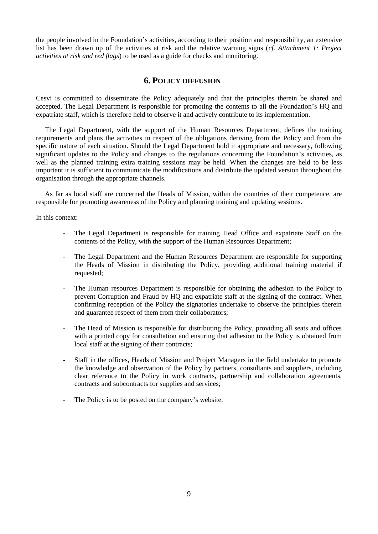<span id="page-8-0"></span>the people involved in the Foundation's activities, according to their position and responsibility, an extensive list has been drawn up of the activities at risk and the relative warning signs (*cf. Attachment 1: Project activities at risk and red flags*) to be used as a guide for checks and monitoring.

# **6. POLICY DIFFUSION**

Cesvi is committed to disseminate the Policy adequately and that the principles therein be shared and accepted. The Legal Department is responsible for promoting the contents to all the Foundation's HQ and expatriate staff, which is therefore held to observe it and actively contribute to its implementation.

The Legal Department, with the support of the Human Resources Department, defines the training requirements and plans the activities in respect of the obligations deriving from the Policy and from the specific nature of each situation. Should the Legal Department hold it appropriate and necessary, following significant updates to the Policy and changes to the regulations concerning the Foundation's activities, as well as the planned training extra training sessions may be held. When the changes are held to be less important it is sufficient to communicate the modifications and distribute the updated version throughout the organisation through the appropriate channels.

As far as local staff are concerned the Heads of Mission, within the countries of their competence, are responsible for promoting awareness of the Policy and planning training and updating sessions.

In this context:

- The Legal Department is responsible for training Head Office and expatriate Staff on the contents of the Policy, with the support of the Human Resources Department;
- The Legal Department and the Human Resources Department are responsible for supporting the Heads of Mission in distributing the Policy, providing additional training material if requested;
- The Human resources Department is responsible for obtaining the adhesion to the Policy to prevent Corruption and Fraud by HQ and expatriate staff at the signing of the contract. When confirming reception of the Policy the signatories undertake to observe the principles therein and guarantee respect of them from their collaborators;
- The Head of Mission is responsible for distributing the Policy, providing all seats and offices with a printed copy for consultation and ensuring that adhesion to the Policy is obtained from local staff at the signing of their contracts;
- Staff in the offices, Heads of Mission and Project Managers in the field undertake to promote the knowledge and observation of the Policy by partners, consultants and suppliers, including clear reference to the Policy in work contracts, partnership and collaboration agreements, contracts and subcontracts for supplies and services;
- The Policy is to be posted on the company's website.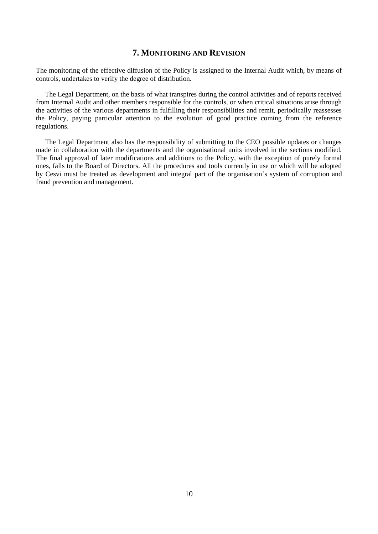# **7. MONITORING AND REVISION**

<span id="page-9-0"></span>The monitoring of the effective diffusion of the Policy is assigned to the Internal Audit which, by means of controls, undertakes to verify the degree of distribution.

The Legal Department, on the basis of what transpires during the control activities and of reports received from Internal Audit and other members responsible for the controls, or when critical situations arise through the activities of the various departments in fulfilling their responsibilities and remit, periodically reassesses the Policy, paying particular attention to the evolution of good practice coming from the reference regulations.

The Legal Department also has the responsibility of submitting to the CEO possible updates or changes made in collaboration with the departments and the organisational units involved in the sections modified. The final approval of later modifications and additions to the Policy, with the exception of purely formal ones, falls to the Board of Directors. All the procedures and tools currently in use or which will be adopted by Cesvi must be treated as development and integral part of the organisation's system of corruption and fraud prevention and management.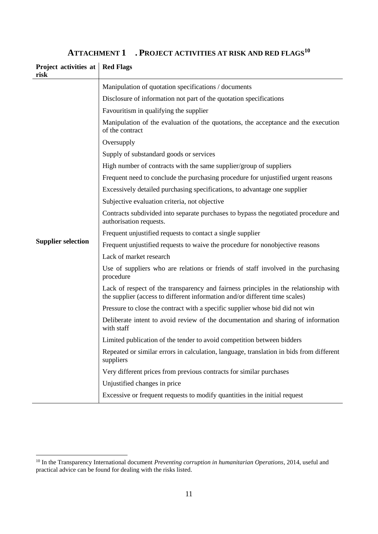<span id="page-10-0"></span>

| Project activities at<br>risk | <b>Red Flags</b>                                                                                                                                                    |
|-------------------------------|---------------------------------------------------------------------------------------------------------------------------------------------------------------------|
|                               | Manipulation of quotation specifications / documents                                                                                                                |
|                               | Disclosure of information not part of the quotation specifications                                                                                                  |
|                               | Favouritism in qualifying the supplier                                                                                                                              |
|                               | Manipulation of the evaluation of the quotations, the acceptance and the execution<br>of the contract                                                               |
|                               | Oversupply                                                                                                                                                          |
|                               | Supply of substandard goods or services                                                                                                                             |
|                               | High number of contracts with the same supplier/group of suppliers                                                                                                  |
|                               | Frequent need to conclude the purchasing procedure for unjustified urgent reasons                                                                                   |
|                               | Excessively detailed purchasing specifications, to advantage one supplier                                                                                           |
|                               | Subjective evaluation criteria, not objective                                                                                                                       |
|                               | Contracts subdivided into separate purchases to bypass the negotiated procedure and<br>authorisation requests.                                                      |
|                               | Frequent unjustified requests to contact a single supplier                                                                                                          |
| <b>Supplier selection</b>     | Frequent unjustified requests to waive the procedure for nonobjective reasons                                                                                       |
|                               | Lack of market research                                                                                                                                             |
|                               | Use of suppliers who are relations or friends of staff involved in the purchasing<br>procedure                                                                      |
|                               | Lack of respect of the transparency and fairness principles in the relationship with<br>the supplier (access to different information and/or different time scales) |
|                               | Pressure to close the contract with a specific supplier whose bid did not win                                                                                       |
|                               | Deliberate intent to avoid review of the documentation and sharing of information<br>with staff                                                                     |
|                               | Limited publication of the tender to avoid competition between bidders                                                                                              |
|                               | Repeated or similar errors in calculation, language, translation in bids from different<br>suppliers                                                                |
|                               | Very different prices from previous contracts for similar purchases                                                                                                 |
|                               | Unjustified changes in price                                                                                                                                        |
|                               | Excessive or frequent requests to modify quantities in the initial request                                                                                          |

# **ATTACHMENT 1 . PROJECT ACTIVITIES AT RISK AND RED FLAGS<sup>10</sup>**

1

<sup>10</sup> In the Transparency International document *Preventing corruption in humanitarian Operations*, 2014, useful and practical advice can be found for dealing with the risks listed.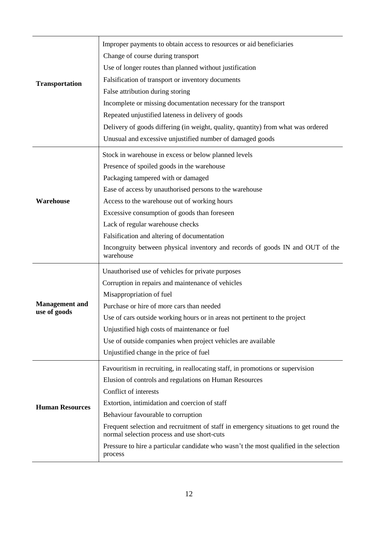| <b>Transportation</b>                 | Improper payments to obtain access to resources or aid beneficiaries<br>Change of course during transport<br>Use of longer routes than planned without justification<br>Falsification of transport or inventory documents<br>False attribution during storing<br>Incomplete or missing documentation necessary for the transport<br>Repeated unjustified lateness in delivery of goods<br>Delivery of goods differing (in weight, quality, quantity) from what was ordered<br>Unusual and excessive unjustified number of damaged goods |
|---------------------------------------|-----------------------------------------------------------------------------------------------------------------------------------------------------------------------------------------------------------------------------------------------------------------------------------------------------------------------------------------------------------------------------------------------------------------------------------------------------------------------------------------------------------------------------------------|
| Warehouse                             | Stock in warehouse in excess or below planned levels<br>Presence of spoiled goods in the warehouse<br>Packaging tampered with or damaged<br>Ease of access by unauthorised persons to the warehouse<br>Access to the warehouse out of working hours<br>Excessive consumption of goods than foreseen<br>Lack of regular warehouse checks<br>Falsification and altering of documentation<br>Incongruity between physical inventory and records of goods IN and OUT of the<br>warehouse                                                    |
| <b>Management</b> and<br>use of goods | Unauthorised use of vehicles for private purposes<br>Corruption in repairs and maintenance of vehicles<br>Misappropriation of fuel<br>Purchase or hire of more cars than needed<br>Use of cars outside working hours or in areas not pertinent to the project<br>Unjustified high costs of maintenance or fuel<br>Use of outside companies when project vehicles are available<br>Unjustified change in the price of fuel                                                                                                               |
| <b>Human Resources</b>                | Favouritism in recruiting, in reallocating staff, in promotions or supervision<br>Elusion of controls and regulations on Human Resources<br>Conflict of interests<br>Extortion, intimidation and coercion of staff<br>Behaviour favourable to corruption<br>Frequent selection and recruitment of staff in emergency situations to get round the<br>normal selection process and use short-cuts<br>Pressure to hire a particular candidate who wasn't the most qualified in the selection<br>process                                    |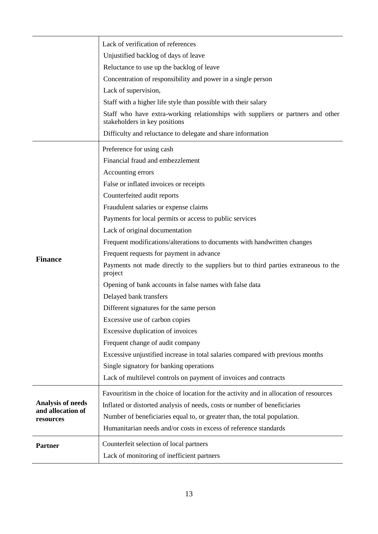|                          | Lack of verification of references                                                                               |
|--------------------------|------------------------------------------------------------------------------------------------------------------|
|                          | Unjustified backlog of days of leave                                                                             |
|                          | Reluctance to use up the backlog of leave                                                                        |
|                          | Concentration of responsibility and power in a single person                                                     |
|                          | Lack of supervision,                                                                                             |
|                          | Staff with a higher life style than possible with their salary                                                   |
|                          | Staff who have extra-working relationships with suppliers or partners and other<br>stakeholders in key positions |
|                          | Difficulty and reluctance to delegate and share information                                                      |
|                          | Preference for using cash                                                                                        |
|                          | Financial fraud and embezzlement                                                                                 |
|                          | Accounting errors                                                                                                |
|                          | False or inflated invoices or receipts                                                                           |
|                          | Counterfeited audit reports                                                                                      |
|                          | Fraudulent salaries or expense claims                                                                            |
|                          | Payments for local permits or access to public services                                                          |
|                          | Lack of original documentation                                                                                   |
|                          | Frequent modifications/alterations to documents with handwritten changes                                         |
|                          | Frequent requests for payment in advance                                                                         |
| <b>Finance</b>           | Payments not made directly to the suppliers but to third parties extraneous to the<br>project                    |
|                          | Opening of bank accounts in false names with false data                                                          |
|                          | Delayed bank transfers                                                                                           |
|                          | Different signatures for the same person                                                                         |
|                          | Excessive use of carbon copies                                                                                   |
|                          | Excessive duplication of invoices                                                                                |
|                          | Frequent change of audit company                                                                                 |
|                          | Excessive unjustified increase in total salaries compared with previous months                                   |
|                          | Single signatory for banking operations                                                                          |
|                          | Lack of multilevel controls on payment of invoices and contracts                                                 |
|                          | Favouritism in the choice of location for the activity and in allocation of resources                            |
| <b>Analysis of needs</b> | Inflated or distorted analysis of needs, costs or number of beneficiaries                                        |
| and allocation of        | Number of beneficiaries equal to, or greater than, the total population.                                         |
| resources                | Humanitarian needs and/or costs in excess of reference standards                                                 |
| <b>Partner</b>           | Counterfeit selection of local partners                                                                          |
|                          | Lack of monitoring of inefficient partners                                                                       |
|                          |                                                                                                                  |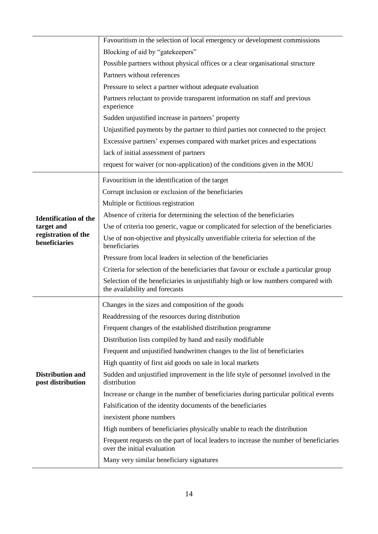|                                              | Favouritism in the selection of local emergency or development commissions                                            |
|----------------------------------------------|-----------------------------------------------------------------------------------------------------------------------|
|                                              | Blocking of aid by "gatekeepers"                                                                                      |
|                                              | Possible partners without physical offices or a clear organisational structure                                        |
|                                              | Partners without references                                                                                           |
|                                              | Pressure to select a partner without adequate evaluation                                                              |
|                                              | Partners reluctant to provide transparent information on staff and previous<br>experience                             |
|                                              | Sudden unjustified increase in partners' property                                                                     |
|                                              | Unjustified payments by the partner to third parties not connected to the project                                     |
|                                              | Excessive partners' expenses compared with market prices and expectations                                             |
|                                              | lack of initial assessment of partners                                                                                |
|                                              | request for waiver (or non-application) of the conditions given in the MOU                                            |
|                                              | Favouritism in the identification of the target                                                                       |
|                                              | Corrupt inclusion or exclusion of the beneficiaries                                                                   |
|                                              | Multiple or fictitious registration                                                                                   |
| <b>Identification of the</b>                 | Absence of criteria for determining the selection of the beneficiaries                                                |
| target and                                   | Use of criteria too generic, vague or complicated for selection of the beneficiaries                                  |
| registration of the<br>beneficiaries         | Use of non-objective and physically unverifiable criteria for selection of the<br>beneficiaries                       |
|                                              | Pressure from local leaders in selection of the beneficiaries                                                         |
|                                              | Criteria for selection of the beneficiaries that favour or exclude a particular group                                 |
|                                              | Selection of the beneficiaries in unjustifiably high or low numbers compared with<br>the availability and forecasts   |
|                                              | Changes in the sizes and composition of the goods                                                                     |
|                                              | Readdressing of the resources during distribution                                                                     |
|                                              | Frequent changes of the established distribution programme                                                            |
|                                              | Distribution lists compiled by hand and easily modifiable                                                             |
|                                              | Frequent and unjustified handwritten changes to the list of beneficiaries                                             |
|                                              | High quantity of first aid goods on sale in local markets                                                             |
| <b>Distribution and</b><br>post distribution | Sudden and unjustified improvement in the life style of personnel involved in the<br>distribution                     |
|                                              | Increase or change in the number of beneficiaries during particular political events                                  |
|                                              | Falsification of the identity documents of the beneficiaries                                                          |
|                                              | inexistent phone numbers                                                                                              |
|                                              | High numbers of beneficiaries physically unable to reach the distribution                                             |
|                                              | Frequent requests on the part of local leaders to increase the number of beneficiaries<br>over the initial evaluation |
|                                              | Many very similar beneficiary signatures                                                                              |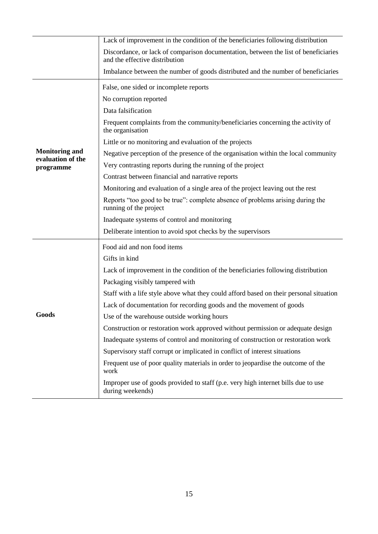|                                | Lack of improvement in the condition of the beneficiaries following distribution                                      |
|--------------------------------|-----------------------------------------------------------------------------------------------------------------------|
|                                | Discordance, or lack of comparison documentation, between the list of beneficiaries<br>and the effective distribution |
|                                | Imbalance between the number of goods distributed and the number of beneficiaries                                     |
|                                | False, one sided or incomplete reports                                                                                |
|                                | No corruption reported                                                                                                |
|                                | Data falsification                                                                                                    |
|                                | Frequent complaints from the community/beneficiaries concerning the activity of<br>the organisation                   |
|                                | Little or no monitoring and evaluation of the projects                                                                |
| <b>Monitoring and</b>          | Negative perception of the presence of the organisation within the local community                                    |
| evaluation of the<br>programme | Very contrasting reports during the running of the project                                                            |
|                                | Contrast between financial and narrative reports                                                                      |
|                                | Monitoring and evaluation of a single area of the project leaving out the rest                                        |
|                                | Reports "too good to be true": complete absence of problems arising during the<br>running of the project              |
|                                | Inadequate systems of control and monitoring                                                                          |
|                                | Deliberate intention to avoid spot checks by the supervisors                                                          |
|                                | Food aid and non food items                                                                                           |
|                                | Gifts in kind                                                                                                         |
|                                | Lack of improvement in the condition of the beneficiaries following distribution                                      |
|                                | Packaging visibly tampered with                                                                                       |
|                                | Staff with a life style above what they could afford based on their personal situation                                |
|                                | Lack of documentation for recording goods and the movement of goods                                                   |
| Goods                          | Use of the warehouse outside working hours                                                                            |
|                                | Construction or restoration work approved without permission or adequate design                                       |
|                                | Inadequate systems of control and monitoring of construction or restoration work                                      |
|                                | Supervisory staff corrupt or implicated in conflict of interest situations                                            |
|                                | Frequent use of poor quality materials in order to jeopardise the outcome of the<br>work                              |
|                                | Improper use of goods provided to staff (p.e. very high internet bills due to use<br>during weekends)                 |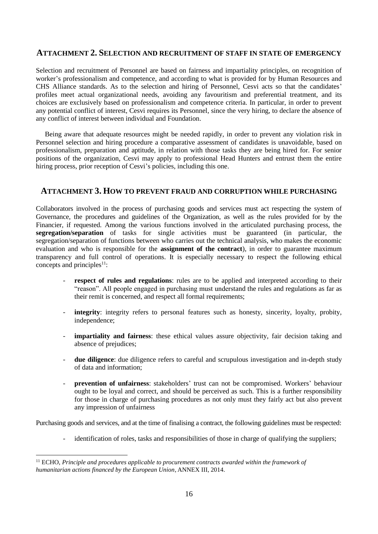# <span id="page-15-0"></span>**ATTACHMENT 2. SELECTION AND RECRUITMENT OF STAFF IN STATE OF EMERGENCY**

Selection and recruitment of Personnel are based on fairness and impartiality principles, on recognition of worker's professionalism and competence, and according to what is provided for by Human Resources and CHS Alliance standards. As to the selection and hiring of Personnel, Cesvi acts so that the candidates' profiles meet actual organizational needs, avoiding any favouritism and preferential treatment, and its choices are exclusively based on professionalism and competence criteria. In particular, in order to prevent any potential conflict of interest, Cesvi requires its Personnel, since the very hiring, to declare the absence of any conflict of interest between individual and Foundation.

Being aware that adequate resources might be needed rapidly, in order to prevent any violation risk in Personnel selection and hiring procedure a comparative assessment of candidates is unavoidable, based on professionalism, preparation and aptitude, in relation with those tasks they are being hired for. For senior positions of the organization, Cesvi may apply to professional Head Hunters and entrust them the entire hiring process, prior reception of Cesvi's policies, including this one.

# <span id="page-15-1"></span>**ATTACHMENT 3. HOW TO PREVENT FRAUD AND CORRUPTION WHILE PURCHASING**

Collaborators involved in the process of purchasing goods and services must act respecting the system of Governance, the procedures and guidelines of the Organization, as well as the rules provided for by the Financier, if requested. Among the various functions involved in the articulated purchasing process, the **segregation/separation** of tasks for single activities must be guaranteed (in particular, the segregation/separation of functions between who carries out the technical analysis, who makes the economic evaluation and who is responsible for the **assignment of the contract**), in order to guarantee maximum transparency and full control of operations. It is especially necessary to respect the following ethical concepts and principles<sup>11</sup>:

- **respect of rules and regulations**: rules are to be applied and interpreted according to their "reason". All people engaged in purchasing must understand the rules and regulations as far as their remit is concerned, and respect all formal requirements;
- integrity: integrity refers to personal features such as honesty, sincerity, loyalty, probity, independence;
- impartiality and fairness: these ethical values assure objectivity, fair decision taking and absence of prejudices;
- **due diligence**: due diligence refers to careful and scrupulous investigation and in-depth study of data and information;
- **prevention of unfairness**: stakeholders' trust can not be compromised. Workers' behaviour ought to be loyal and correct, and should be perceived as such. This is a further responsibility for those in charge of purchasing procedures as not only must they fairly act but also prevent any impression of unfairness

Purchasing goods and services, and at the time of finalising a contract, the following guidelines must be respected:

- identification of roles, tasks and responsibilities of those in charge of qualifying the suppliers;

1

<sup>11</sup> ECHO, *Principle and procedures applicable to procurement contracts awarded within the framework of humanitarian actions financed by the European Union*, ANNEX III, 2014.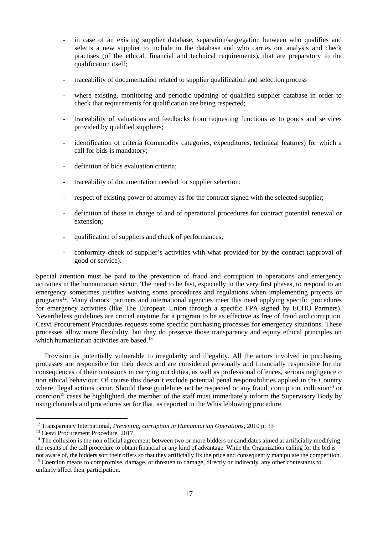- in case of an existing supplier database, separation/segregation between who qualifies and selects a new supplier to include in the database and who carries out analysis and check practises (of the ethical, financial and technical requirements), that are preparatory to the qualification itself;
- traceability of documentation related to supplier qualification and selection process
- where existing, monitoring and periodic updating of qualified supplier database in order to check that requirements for qualification are being respected;
- traceability of valuations and feedbacks from requesting functions as to goods and services provided by qualified suppliers;
- identification of criteria (commodity categories, expenditures, technical features) for which a call for bids is mandatory;
- definition of bids evaluation criteria;
- traceability of documentation needed for supplier selection;
- respect of existing power of attorney as for the contract signed with the selected supplier;
- definition of those in charge of and of operational procedures for contract potential renewal or extension;
- qualification of suppliers and check of performances;
- conformity check of supplier's activities with what provided for by the contract (approval of good or service).

Special attention must be paid to the prevention of fraud and corruption in operations and emergency activities in the humanitarian sector. The need to be fast, especially in the very first phases, to respond to an emergency sometimes justifies waiving some procedures and regulations when implementing projects or programs<sup>12</sup>. Many donors, partners and international agencies meet this need applying specific procedures for emergency activities (like The European Union through a specific FPA signed by ECHO Partners). Nevertheless guidelines are crucial anytime for a program to be as effective as free of fraud and corruption. Cesvi Procurement Procedures requests some specific purchasing processes for emergency situations. These processes allow more flexibility, but they do preserve those transparency and equity ethical principles on which humanitarian activities are based.<sup>13</sup>

Provision is potentially vulnerable to irregularity and illegality. All the actors involved in purchasing processes are responsible for their deeds and are considered personally and financially responsible for the consequences of their omissions in carrying out duties, as well as professional offences, serious negligence o non ethical behaviour. Of course this doesn't exclude potential penal responsibilities applied in the Country where illegal actions occur. Should these guidelines not be respected or any fraud, corruption, collusion $14$  or coercion<sup>15</sup> cases be highlighted, the member of the staff must immediately inform the Supervisory Body by using channels and procedures set for that, as reported in the Whistleblowing procedure.

<u>.</u>

<sup>12</sup> Transparency International, *Preventing corruption in Humanitarian Operations*, 2010 p. 33

<sup>&</sup>lt;sup>13</sup> Cesvi Procurement Procedure, 2017.

<sup>&</sup>lt;sup>14</sup> The collusion is the non official agreement between two or more bidders or candidates aimed at artificially modifying the results of the call procedure to obtain financial or any kind of advantage. While the Organization calling for the bid is not aware of, the bidders sort their offers so that they artificially fix the price and consequently manipulate the competition. <sup>15</sup> Coercion means to compromise, damage, or threaten to damage, directly or indirectly, any other contestants to unfairly affect their participation.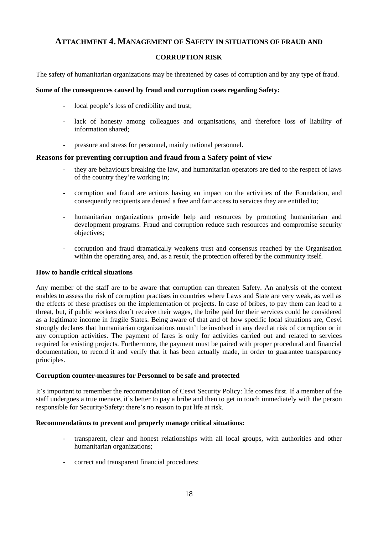# <span id="page-17-0"></span>**ATTACHMENT 4. MANAGEMENT OF SAFETY IN SITUATIONS OF FRAUD AND**

# **CORRUPTION RISK**

The safety of humanitarian organizations may be threatened by cases of corruption and by any type of fraud.

### **Some of the consequences caused by fraud and corruption cases regarding Safety:**

- local people's loss of credibility and trust;
- lack of honesty among colleagues and organisations, and therefore loss of liability of information shared;
- pressure and stress for personnel, mainly national personnel.

# **Reasons for preventing corruption and fraud from a Safety point of view**

- they are behaviours breaking the law, and humanitarian operators are tied to the respect of laws of the country they're working in;
- corruption and fraud are actions having an impact on the activities of the Foundation, and consequently recipients are denied a free and fair access to services they are entitled to;
- humanitarian organizations provide help and resources by promoting humanitarian and development programs. Fraud and corruption reduce such resources and compromise security objectives;
- corruption and fraud dramatically weakens trust and consensus reached by the Organisation within the operating area, and, as a result, the protection offered by the community itself.

## **How to handle critical situations**

Any member of the staff are to be aware that corruption can threaten Safety. An analysis of the context enables to assess the risk of corruption practises in countries where Laws and State are very weak, as well as the effects of these practises on the implementation of projects. In case of bribes, to pay them can lead to a threat, but, if public workers don't receive their wages, the bribe paid for their services could be considered as a legitimate income in fragile States. Being aware of that and of how specific local situations are, Cesvi strongly declares that humanitarian organizations mustn't be involved in any deed at risk of corruption or in any corruption activities. The payment of fares is only for activities carried out and related to services required for existing projects. Furthermore, the payment must be paired with proper procedural and financial documentation, to record it and verify that it has been actually made, in order to guarantee transparency principles.

### **Corruption counter-measures for Personnel to be safe and protected**

It's important to remember the recommendation of Cesvi Security Policy: life comes first. If a member of the staff undergoes a true menace, it's better to pay a bribe and then to get in touch immediately with the person responsible for Security/Safety: there's no reason to put life at risk.

### **Recommendations to prevent and properly manage critical situations:**

- transparent, clear and honest relationships with all local groups, with authorities and other humanitarian organizations;
- correct and transparent financial procedures;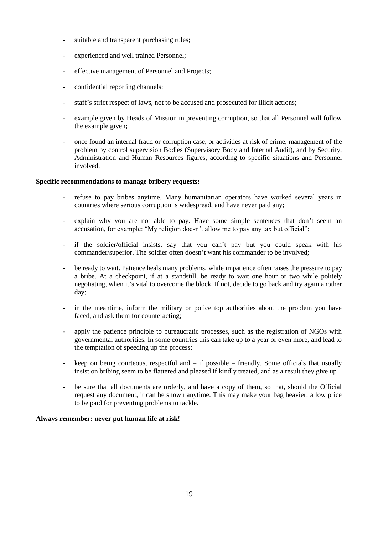- suitable and transparent purchasing rules;
- experienced and well trained Personnel;
- effective management of Personnel and Projects;
- confidential reporting channels;
- staff's strict respect of laws, not to be accused and prosecuted for illicit actions;
- example given by Heads of Mission in preventing corruption, so that all Personnel will follow the example given;
- once found an internal fraud or corruption case, or activities at risk of crime, management of the problem by control supervision Bodies (Supervisory Body and Internal Audit), and by Security, Administration and Human Resources figures, according to specific situations and Personnel involved.

### **Specific recommendations to manage bribery requests:**

- refuse to pay bribes anytime. Many humanitarian operators have worked several years in countries where serious corruption is widespread, and have never paid any;
- explain why you are not able to pay. Have some simple sentences that don't seem an accusation, for example: "My religion doesn't allow me to pay any tax but official";
- if the soldier/official insists, say that you can't pay but you could speak with his commander/superior. The soldier often doesn't want his commander to be involved;
- be ready to wait. Patience heals many problems, while impatience often raises the pressure to pay a bribe. At a checkpoint, if at a standstill, be ready to wait one hour or two while politely negotiating, when it's vital to overcome the block. If not, decide to go back and try again another day;
- in the meantime, inform the military or police top authorities about the problem you have faced, and ask them for counteracting;
- apply the patience principle to bureaucratic processes, such as the registration of NGOs with governmental authorities. In some countries this can take up to a year or even more, and lead to the temptation of speeding up the process;
- keep on being courteous, respectful and  $-$  if possible  $-$  friendly. Some officials that usually insist on bribing seem to be flattered and pleased if kindly treated, and as a result they give up
- be sure that all documents are orderly, and have a copy of them, so that, should the Official request any document, it can be shown anytime. This may make your bag heavier: a low price to be paid for preventing problems to tackle.

### **Always remember: never put human life at risk!**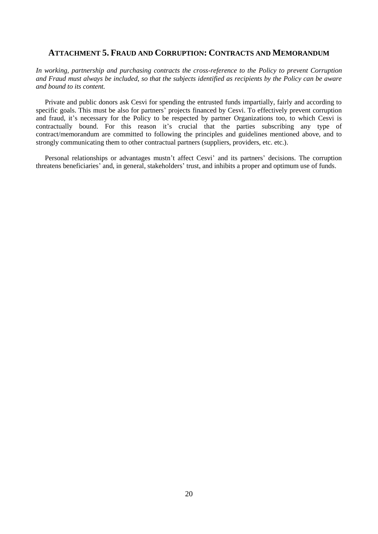# <span id="page-19-0"></span>**ATTACHMENT 5. FRAUD AND CORRUPTION: CONTRACTS AND MEMORANDUM**

*In working, partnership and purchasing contracts the cross-reference to the Policy to prevent Corruption and Fraud must always be included, so that the subjects identified as recipients by the Policy can be aware and bound to its content.*

Private and public donors ask Cesvi for spending the entrusted funds impartially, fairly and according to specific goals. This must be also for partners' projects financed by Cesvi. To effectively prevent corruption and fraud, it's necessary for the Policy to be respected by partner Organizations too, to which Cesvi is contractually bound. For this reason it's crucial that the parties subscribing any type of contract/memorandum are committed to following the principles and guidelines mentioned above, and to strongly communicating them to other contractual partners (suppliers, providers, etc. etc.).

Personal relationships or advantages mustn't affect Cesvi' and its partners' decisions. The corruption threatens beneficiaries' and, in general, stakeholders' trust, and inhibits a proper and optimum use of funds.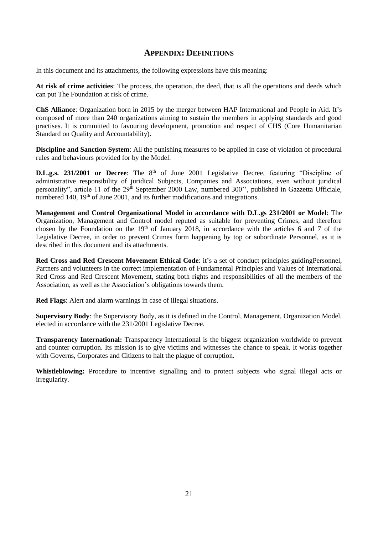# **APPENDIX: DEFINITIONS**

<span id="page-20-0"></span>In this document and its attachments, the following expressions have this meaning:

**At risk of crime activities**: The process, the operation, the deed, that is all the operations and deeds which can put The Foundation at risk of crime.

**ChS Alliance**: Organization born in 2015 by the merger between HAP International and People in Aid. It's composed of more than 240 organizations aiming to sustain the members in applying standards and good practises. It is committed to favouring development, promotion and respect of CHS (Core Humanitarian Standard on Quality and Accountability).

**Discipline and Sanction System**: All the punishing measures to be applied in case of violation of procedural rules and behaviours provided for by the Model.

**D.L.g.s. 231/2001 or Decree**: The 8<sup>th</sup> of June 2001 Legislative Decree, featuring "Discipline of administrative responsibility of juridical Subjects, Companies and Associations, even without juridical personality", article 11 of the 29<sup>th</sup> September 2000 Law, numbered 300", published in Gazzetta Ufficiale, numbered 140, 19<sup>th</sup> of June 2001, and its further modifications and integrations.

**Management and Control Organizational Model in accordance with D.L.gs 231/2001 or Model**: The Organization, Management and Control model reputed as suitable for preventing Crimes, and therefore chosen by the Foundation on the  $19<sup>th</sup>$  of January 2018, in accordance with the articles 6 and 7 of the Legislative Decree, in order to prevent Crimes form happening by top or subordinate Personnel, as it is described in this document and its attachments.

**Red Cross and Red Crescent Movement Ethical Code**: it's a set of conduct principles guidingPersonnel, Partners and volunteers in the correct implementation of Fundamental Principles and Values of International Red Cross and Red Crescent Movement, stating both rights and responsibilities of all the members of the Association, as well as the Association's obligations towards them.

**Red Flags**: Alert and alarm warnings in case of illegal situations.

**Supervisory Body**: the Supervisory Body, as it is defined in the Control, Management, Organization Model, elected in accordance with the 231/2001 Legislative Decree.

**Transparency International:** Transparency International is the biggest organization worldwide to prevent and counter corruption. Its mission is to give victims and witnesses the chance to speak. It works together with Governs, Corporates and Citizens to halt the plague of corruption.

**Whistleblowing:** Procedure to incentive signalling and to protect subjects who signal illegal acts or irregularity.